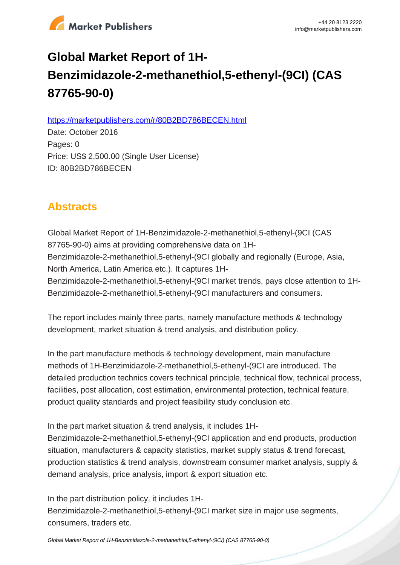

# **Global Market Report of 1H-Benzimidazole-2-methanethiol,5-ethenyl-(9CI) (CAS 87765-90-0)**

https://marketpublishers.com/r/80B2BD786BECEN.html

Date: October 2016 Pages: 0 Price: US\$ 2,500.00 (Single User License) ID: 80B2BD786BECEN

# **Abstracts**

Global Market Report of 1H-Benzimidazole-2-methanethiol,5-ethenyl-(9CI (CAS 87765-90-0) aims at providing comprehensive data on 1H-Benzimidazole-2-methanethiol,5-ethenyl-(9CI globally and regionally (Europe, Asia, North America, Latin America etc.). It captures 1H-Benzimidazole-2-methanethiol,5-ethenyl-(9CI market trends, pays close attention to 1H-Benzimidazole-2-methanethiol,5-ethenyl-(9CI manufacturers and consumers.

The report includes mainly three parts, namely manufacture methods & technology development, market situation & trend analysis, and distribution policy.

In the part manufacture methods & technology development, main manufacture methods of 1H-Benzimidazole-2-methanethiol,5-ethenyl-(9CI are introduced. The detailed production technics covers technical principle, technical flow, technical process, facilities, post allocation, cost estimation, environmental protection, technical feature, product quality standards and project feasibility study conclusion etc.

In the part market situation & trend analysis, it includes 1H-

Benzimidazole-2-methanethiol,5-ethenyl-(9CI application and end products, production situation, manufacturers & capacity statistics, market supply status & trend forecast, production statistics & trend analysis, downstream consumer market analysis, supply & demand analysis, price analysis, import & export situation etc.

In the part distribution policy, it includes 1H-

Benzimidazole-2-methanethiol,5-ethenyl-(9CI market size in major use segments, consumers, traders etc.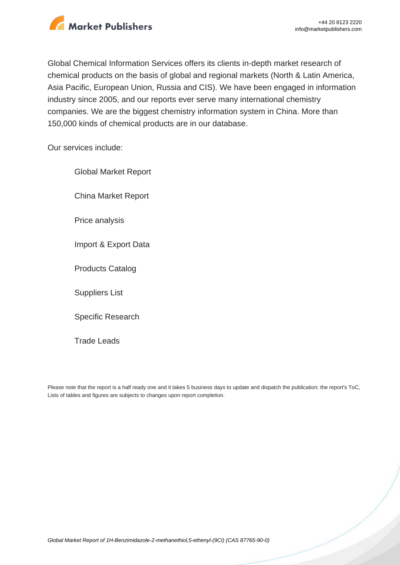

Global Chemical Information Services offers its clients in-depth market research of chemical products on the basis of global and regional markets (North & Latin America, Asia Pacific, European Union, Russia and CIS). We have been engaged in information industry since 2005, and our reports ever serve many international chemistry companies. We are the biggest chemistry information system in China. More than 150,000 kinds of chemical products are in our database.

Our services include:

Global Market Report China Market Report Price analysis Import & Export Data Products Catalog Suppliers List Specific Research

Trade Leads

Please note that the report is a half ready one and it takes 5 business days to update and dispatch the publication; the report's ToC, Lists of tables and figures are subjects to changes upon report completion.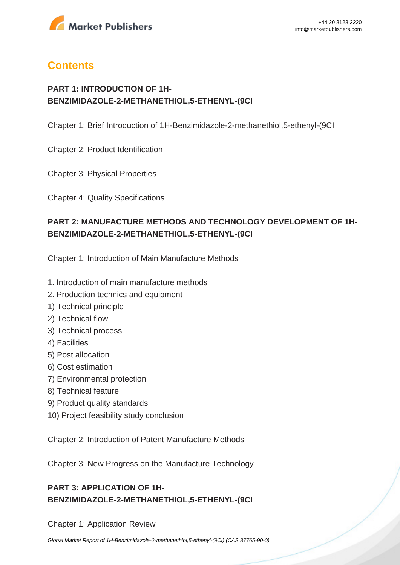

# **Contents**

## **PART 1: INTRODUCTION OF 1H-BENZIMIDAZOLE-2-METHANETHIOL,5-ETHENYL-(9CI**

Chapter 1: Brief Introduction of 1H-Benzimidazole-2-methanethiol,5-ethenyl-(9CI

Chapter 2: Product Identification

Chapter 3: Physical Properties

Chapter 4: Quality Specifications

# **PART 2: MANUFACTURE METHODS AND TECHNOLOGY DEVELOPMENT OF 1H-BENZIMIDAZOLE-2-METHANETHIOL,5-ETHENYL-(9CI**

Chapter 1: Introduction of Main Manufacture Methods

- 1. Introduction of main manufacture methods
- 2. Production technics and equipment
- 1) Technical principle
- 2) Technical flow
- 3) Technical process
- 4) Facilities
- 5) Post allocation
- 6) Cost estimation
- 7) Environmental protection
- 8) Technical feature
- 9) Product quality standards
- 10) Project feasibility study conclusion

Chapter 2: Introduction of Patent Manufacture Methods

Chapter 3: New Progress on the Manufacture Technology

# **PART 3: APPLICATION OF 1H-BENZIMIDAZOLE-2-METHANETHIOL,5-ETHENYL-(9CI**

Chapter 1: Application Review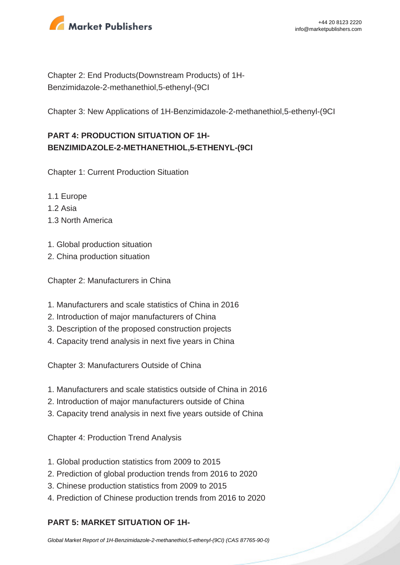

Chapter 2: End Products(Downstream Products) of 1H-Benzimidazole-2-methanethiol,5-ethenyl-(9CI

Chapter 3: New Applications of 1H-Benzimidazole-2-methanethiol,5-ethenyl-(9CI

# **PART 4: PRODUCTION SITUATION OF 1H-BENZIMIDAZOLE-2-METHANETHIOL,5-ETHENYL-(9CI**

Chapter 1: Current Production Situation

- 1.1 Europe
- 1.2 Asia
- 1.3 North America
- 1. Global production situation
- 2. China production situation

Chapter 2: Manufacturers in China

- 1. Manufacturers and scale statistics of China in 2016
- 2. Introduction of major manufacturers of China
- 3. Description of the proposed construction projects
- 4. Capacity trend analysis in next five years in China

Chapter 3: Manufacturers Outside of China

- 1. Manufacturers and scale statistics outside of China in 2016
- 2. Introduction of major manufacturers outside of China
- 3. Capacity trend analysis in next five years outside of China

Chapter 4: Production Trend Analysis

- 1. Global production statistics from 2009 to 2015
- 2. Prediction of global production trends from 2016 to 2020
- 3. Chinese production statistics from 2009 to 2015
- 4. Prediction of Chinese production trends from 2016 to 2020

### **PART 5: MARKET SITUATION OF 1H-**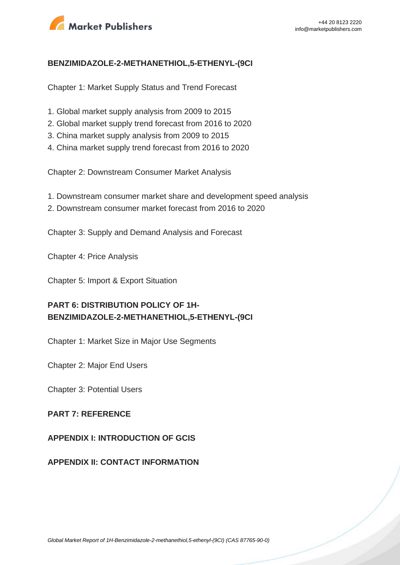

#### **BENZIMIDAZOLE-2-METHANETHIOL,5-ETHENYL-(9CI**

Chapter 1: Market Supply Status and Trend Forecast

- 1. Global market supply analysis from 2009 to 2015
- 2. Global market supply trend forecast from 2016 to 2020
- 3. China market supply analysis from 2009 to 2015
- 4. China market supply trend forecast from 2016 to 2020

Chapter 2: Downstream Consumer Market Analysis

- 1. Downstream consumer market share and development speed analysis
- 2. Downstream consumer market forecast from 2016 to 2020

Chapter 3: Supply and Demand Analysis and Forecast

Chapter 4: Price Analysis

Chapter 5: Import & Export Situation

# **PART 6: DISTRIBUTION POLICY OF 1H-BENZIMIDAZOLE-2-METHANETHIOL,5-ETHENYL-(9CI**

Chapter 1: Market Size in Major Use Segments

Chapter 2: Major End Users

Chapter 3: Potential Users

#### **PART 7: REFERENCE**

**APPENDIX I: INTRODUCTION OF GCIS**

#### **APPENDIX II: CONTACT INFORMATION**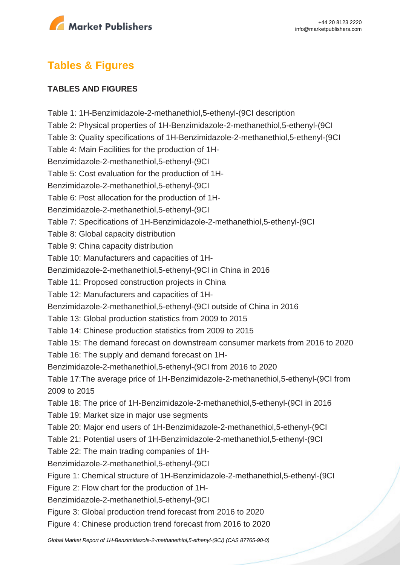

# **Tables & Figures**

#### **TABLES AND FIGURES**

Table 1: 1H-Benzimidazole-2-methanethiol,5-ethenyl-(9CI description Table 2: Physical properties of 1H-Benzimidazole-2-methanethiol,5-ethenyl-(9CI Table 3: Quality specifications of 1H-Benzimidazole-2-methanethiol,5-ethenyl-(9CI Table 4: Main Facilities for the production of 1H-Benzimidazole-2-methanethiol,5-ethenyl-(9CI Table 5: Cost evaluation for the production of 1H-Benzimidazole-2-methanethiol,5-ethenyl-(9CI Table 6: Post allocation for the production of 1H-Benzimidazole-2-methanethiol,5-ethenyl-(9CI Table 7: Specifications of 1H-Benzimidazole-2-methanethiol,5-ethenyl-(9CI Table 8: Global capacity distribution Table 9: China capacity distribution Table 10: Manufacturers and capacities of 1H-Benzimidazole-2-methanethiol,5-ethenyl-(9CI in China in 2016 Table 11: Proposed construction projects in China Table 12: Manufacturers and capacities of 1H-Benzimidazole-2-methanethiol,5-ethenyl-(9CI outside of China in 2016 Table 13: Global production statistics from 2009 to 2015 Table 14: Chinese production statistics from 2009 to 2015 Table 15: The demand forecast on downstream consumer markets from 2016 to 2020 Table 16: The supply and demand forecast on 1H-Benzimidazole-2-methanethiol,5-ethenyl-(9CI from 2016 to 2020 Table 17:The average price of 1H-Benzimidazole-2-methanethiol,5-ethenyl-(9CI from 2009 to 2015 Table 18: The price of 1H-Benzimidazole-2-methanethiol,5-ethenyl-(9CI in 2016 Table 19: Market size in major use segments Table 20: Major end users of 1H-Benzimidazole-2-methanethiol,5-ethenyl-(9CI Table 21: Potential users of 1H-Benzimidazole-2-methanethiol,5-ethenyl-(9CI Table 22: The main trading companies of 1H-Benzimidazole-2-methanethiol,5-ethenyl-(9CI Figure 1: Chemical structure of 1H-Benzimidazole-2-methanethiol,5-ethenyl-(9CI Figure 2: Flow chart for the production of 1H-Benzimidazole-2-methanethiol,5-ethenyl-(9CI Figure 3: Global production trend forecast from 2016 to 2020 Figure 4: Chinese production trend forecast from 2016 to 2020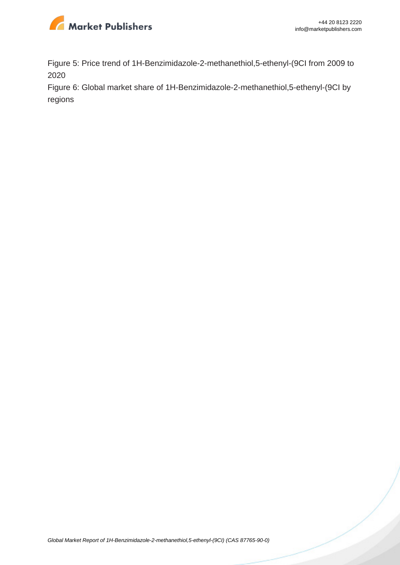

Figure 5: Price trend of 1H-Benzimidazole-2-methanethiol,5-ethenyl-(9CI from 2009 to 2020

Figure 6: Global market share of 1H-Benzimidazole-2-methanethiol,5-ethenyl-(9CI by regions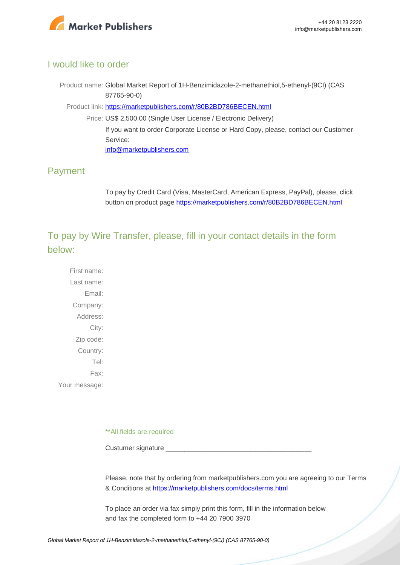

### I would like to order

Product name: Global Market Report of 1H-Benzimidazole-2-methanethiol,5-ethenyl-(9CI) (CAS 87765-90-0)

Product link: [https://marketpublishers.com/r/80B2BD786BECEN.html](https://marketpublishers.com/report/cas/87765-90-0-bc162003.html)

Price: US\$ 2,500.00 (Single User License / Electronic Delivery) If you want to order Corporate License or Hard Copy, please, contact our Customer Service: [info@marketpublishers.com](mailto:info@marketpublishers.com)

### Payment

To pay by Credit Card (Visa, MasterCard, American Express, PayPal), please, click button on product page [https://marketpublishers.com/r/80B2BD786BECEN.html](https://marketpublishers.com/report/cas/87765-90-0-bc162003.html)

To pay by Wire Transfer, please, fill in your contact details in the form below:

First name: Last name: Email: Company: Address: City: Zip code: Country: Tel: Fax: Your message:

\*\*All fields are required

Custumer signature

Please, note that by ordering from marketpublishers.com you are agreeing to our Terms & Conditions at<https://marketpublishers.com/docs/terms.html>

To place an order via fax simply print this form, fill in the information below and fax the completed form to +44 20 7900 3970